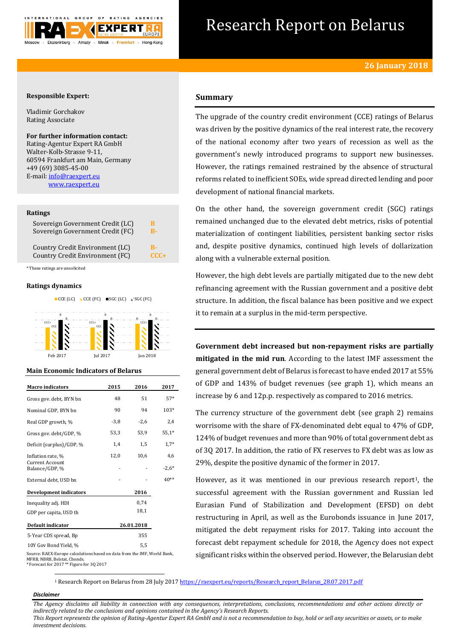

# Research Report on Belarus

## **Responsible Expert:**

Vladimir Gorchakov Rating Associate

# **For further information contact:**

Rating-Agentur Expert RA GmbH Walter-Kolb-Strasse 9-11, 60594 Frankfurt am Main, Germany +49 (69) 3085-45-00 E-mail[: info@raexpert.eu](mailto:info@raexpert.eu) [www.raexpert.eu](http://raexpert.eu/)

#### **Ratings**

| Sovereign Government Credit (LC) | R      |
|----------------------------------|--------|
| Sovereign Government Credit (FC) | R-     |
| Country Credit Environment (LC)  | 8-     |
| Country Credit Environment (FC)  | $CCC+$ |

\* These ratings are unsolicited

#### **Ratings dynamics**





## **Main Economic Indicators of Belarus**

| <b>Macro</b> indicators                  | 2015   | 2016       | 2017    |
|------------------------------------------|--------|------------|---------|
| Gross gov. debt, BYN bn                  | 48     | 51         | $57*$   |
| Nominal GDP, BYN bn                      | 90     | 94         | 103*    |
| Real GDP growth, %                       | $-3,8$ | $-2,6$     | 2,4     |
| Gross gov. debt/GDP, %                   | 53,3   | 53,9       | $55,1*$ |
| Deficit (surplus)/GDP, %                 | 1,4    | 1,5        | $1,7*$  |
| Inflation rate, %                        | 12,0   | 10,6       | 4,6     |
| <b>Current Account</b><br>Balance/GDP, % |        |            | $-2.6*$ |
| External debt, USD bn                    |        |            | $40**$  |
| <b>Development indicators</b>            |        | 2016       |         |
| Inequality adj. HDI                      |        | 0.74       |         |
| GDP per capita, USD th                   |        | 18,1       |         |
| Default indicator                        |        | 26.01.2018 |         |
| 5-Year CDS spread, Bp                    |        | 355        |         |
| 10Y Gov Bond Yield, %                    |        | 5,5        |         |

# **Summary**

The upgrade of the country credit environment (CCE) ratings of Belarus was driven by the positive dynamics of the real interest rate, the recovery of the national economy after two years of recession as well as the government's newly introduced programs to support new businesses. However, the ratings remained restrained by the absence of structural reforms related to inefficient SOEs, wide spread directed lending and poor development of national financial markets.

On the other hand, the sovereign government credit (SGC) ratings remained unchanged due to the elevated debt metrics, risks of potential materialization of contingent liabilities, persistent banking sector risks and, despite positive dynamics, continued high levels of dollarization along with a vulnerable external position.

However, the high debt levels are partially mitigated due to the new debt refinancing agreement with the Russian government and a positive debt structure. In addition, the fiscal balance has been positive and we expect it to remain at a surplus in the mid-term perspective.

**Government debt increased but non-repayment risks are partially mitigated in the mid run**. According to the latest IMF assessment the general government debt of Belarus is forecast to have ended 2017 at 55% of GDP and 143% of budget revenues (see graph 1), which means an increase by 6 and 12p.p. respectively as compared to 2016 metrics.

The currency structure of the government debt (see graph 2) remains worrisome with the share of FX-denominated debt equal to 47% of GDP, 124% of budget revenues and more than 90% of total government debt as of 3Q 2017. In addition, the ratio of FX reserves to FX debt was as low as 29%, despite the positive dynamic of the former in 2017.

However, as it was mentioned in our previous research report<sup>1</sup>, the successful agreement with the Russian government and Russian led Eurasian Fund of Stabilization and Development (EFSD) on debt restructuring in April, as well as the Eurobonds issuance in June 2017, mitigated the debt repayment risks for 2017. Taking into account the forecast debt repayment schedule for 2018, the Agency does not expect significant risks within the observed period. However, the Belarusian debt

Source: RAEX-Europe calculations based on data from the IMF, World Bank, MFRB, NBRB, Belstat, Cbonds. \* Forecast for 2017 \*\* Figure for 3Q 2017

<sup>1</sup> Research Report on Belarus from 28 July 201[7 https://raexpert.eu/reports/Research\\_report\\_Belarus\\_28.07.2017.pdf](https://raexpert.eu/reports/Research_report_Belarus_28.07.2017.pdf)

#### *Disclaimer*

1

*The Agency disclaims all liability in connection with any consequences, interpretations, conclusions, recommendations and other actions directly or indirectly related to the conclusions and opinions contained in the Agency's Research Reports. This Report represents the opinion of Rating-Agentur Expert RA GmbH and is not a recommendation to buy, hold or sell any securities or assets, or to make* 

*investment decisions.*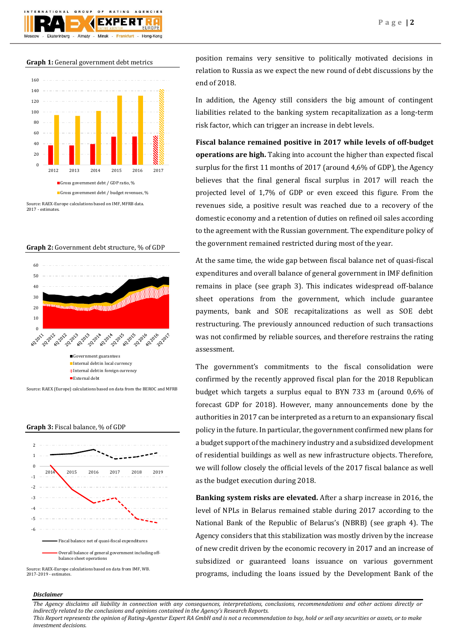

**Graph 1:** General government debt metrics



Source: RAEX-Europe calculations based on IMF, MFRB data. 2017 - estimates.

#### **Graph 2:** Government debt structure, % of GDP



Source: RAEX (Europe) calculations based on data from the BEROC and MFRB

**Graph 3:** Fiscal balance, % of GDP



Source: RAEX-Europe calculations based on data from IMF, WB. 2017-2019 - estimates.

position remains very sensitive to politically motivated decisions in relation to Russia as we expect the new round of debt discussions by the end of 2018.

In addition, the Agency still considers the big amount of contingent liabilities related to the banking system recapitalization as a long-term risk factor, which can trigger an increase in debt levels.

**Fiscal balance remained positive in 2017 while levels of off-budget operations are high.** Taking into account the higher than expected fiscal surplus for the first 11 months of 2017 (around 4,6% of GDP), the Agency believes that the final general fiscal surplus in 2017 will reach the projected level of 1,7% of GDP or even exceed this figure. From the revenues side, a positive result was reached due to a recovery of the domestic economy and a retention of duties on refined oil sales according to the agreement with the Russian government. The expenditure policy of the government remained restricted during most of the year.

At the same time, the wide gap between fiscal balance net of quasi-fiscal expenditures and overall balance of general government in IMF definition remains in place (see graph 3). This indicates widespread off-balance sheet operations from the government, which include guarantee payments, bank and SOE recapitalizations as well as SOE debt restructuring. The previously announced reduction of such transactions was not confirmed by reliable sources, and therefore restrains the rating assessment.

The government's commitments to the fiscal consolidation were confirmed by the recently approved fiscal plan for the 2018 Republican budget which targets a surplus equal to BYN 733 m (around 0,6% of forecast GDP for 2018). However, many announcements done by the authorities in 2017 can be interpreted as a return to an expansionary fiscal policy in the future. In particular, the government confirmed new plans for a budget support of the machinery industry and a subsidized development of residential buildings as well as new infrastructure objects. Therefore, we will follow closely the official levels of the 2017 fiscal balance as well as the budget execution during 2018.

**Banking system risks are elevated.** After a sharp increase in 2016, the level of NPLs in Belarus remained stable during 2017 according to the National Bank of the Republic of Belarus's (NBRB) (see graph 4). The Agency considers that this stabilization was mostly driven by the increase of new credit driven by the economic recovery in 2017 and an increase of subsidized or guaranteed loans issuance on various government programs, including the loans issued by the Development Bank of the

## *Disclaimer*

*The Agency disclaims all liability in connection with any consequences, interpretations, conclusions, recommendations and other actions directly or indirectly related to the conclusions and opinions contained in the Agency's Research Reports.*

*This Report represents the opinion of Rating-Agentur Expert RA GmbH and is not a recommendation to buy, hold or sell any securities or assets, or to make investment decisions.*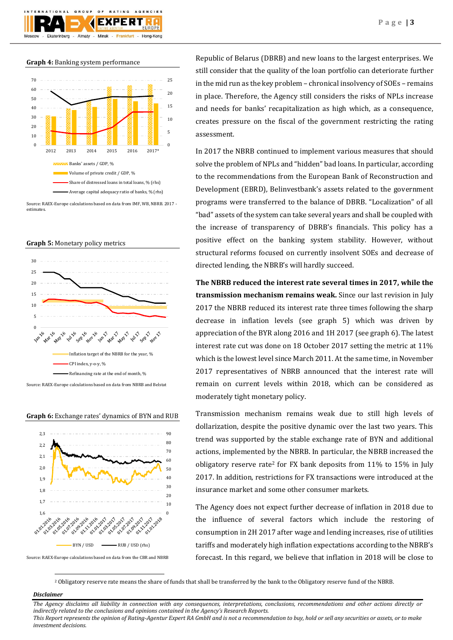

#### **Graph 4:** Banking system performance



Source: RAEX-Europe calculations based on data from IMF, WB, NBRB. 2017 estimates.





Source: RAEX-Europe calculations based on data from NBRB and Belstat





Source: RAEX-Europe calculations based on data from the CBR and NBRB

Republic of Belarus (DBRB) and new loans to the largest enterprises. We still consider that the quality of the loan portfolio can deteriorate further in the mid run as the key problem – chronical insolvency of SOEs – remains in place. Therefore, the Agency still considers the risks of NPLs increase and needs for banks' recapitalization as high which, as a consequence, creates pressure on the fiscal of the government restricting the rating assessment.

In 2017 the NBRB continued to implement various measures that should solve the problem of NPLs and "hidden" bad loans. In particular, according to the recommendations from the European Bank of Reconstruction and Development (EBRD), Belinvestbank's assets related to the government programs were transferred to the balance of DBRB. "Localization" of all "bad" assets of the system can take several years and shall be coupled with the increase of transparency of DBRB's financials. This policy has a positive effect on the banking system stability. However, without structural reforms focused on currently insolvent SOEs and decrease of directed lending, the NBRB's will hardly succeed.

**The NBRB reduced the interest rate several times in 2017, while the transmission mechanism remains weak.** Since our last revision in July 2017 the NBRB reduced its interest rate three times following the sharp decrease in inflation levels (see graph 5) which was driven by appreciation of the BYR along 2016 and 1H 2017 (see graph 6). The latest interest rate cut was done on 18 October 2017 setting the metric at 11% which is the lowest level since March 2011. At the same time, in November 2017 representatives of NBRB announced that the interest rate will remain on current levels within 2018, which can be considered as moderately tight monetary policy.

Transmission mechanism remains weak due to still high levels of dollarization, despite the positive dynamic over the last two years. This trend was supported by the stable exchange rate of BYN and additional actions, implemented by the NBRB. In particular, the NBRB increased the obligatory reserve rate<sup>2</sup> for FX bank deposits from  $11\%$  to  $15\%$  in July 2017. In addition, restrictions for FX transactions were introduced at the insurance market and some other consumer markets.

The Agency does not expect further decrease of inflation in 2018 due to the influence of several factors which include the restoring of consumption in 2H 2017 after wage and lending increases, rise of utilities tariffs and moderately high inflation expectations according to the NBRB's forecast. In this regard, we believe that inflation in 2018 will be close to

<sup>2</sup> Obligatory reserve rate means the share of funds that shall be transferred by the bank to the Obligatory reserve fund of the NBRB.

#### *Disclaimer*

1

*The Agency disclaims all liability in connection with any consequences, interpretations, conclusions, recommendations and other actions directly or indirectly related to the conclusions and opinions contained in the Agency's Research Reports. This Report represents the opinion of Rating-Agentur Expert RA GmbH and is not a recommendation to buy, hold or sell any securities or assets, or to make* 

*investment decisions.*